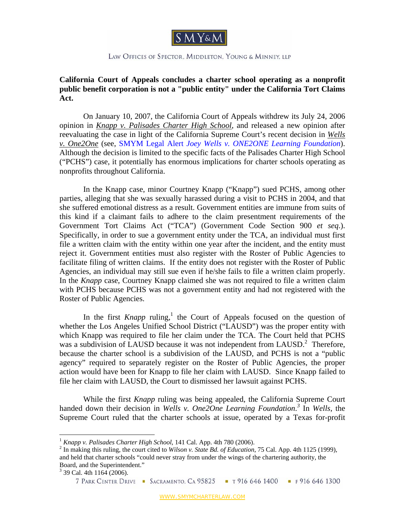

## LAW OFFICES OF SPECTOR, MIDDLETON, YOUNG & MINNEY, LLP

## **California Court of Appeals concludes a charter school operating as a nonprofit public benefit corporation is not a "public entity" under the California Tort Claims Act.**

On January 10, 2007, the California Court of Appeals withdrew its July 24, 2006 opinion in *Knapp v. Palisades Charter High School*, and released a new opinion after reevaluating the case in light of the California Supreme Court's recent decision in *Wells v. One2One* (see, SMYM Legal Alert *Joey Wells v. ONE2ONE Learning Foundation*). Although the decision is limited to the specific facts of the Palisades Charter High School ("PCHS") case, it potentially has enormous implications for charter schools operating as nonprofits throughout California.

In the Knapp case, minor Courtney Knapp ("Knapp") sued PCHS, among other parties, alleging that she was sexually harassed during a visit to PCHS in 2004, and that she suffered emotional distress as a result. Government entities are immune from suits of this kind if a claimant fails to adhere to the claim presentment requirements of the Government Tort Claims Act ("TCA") (Government Code Section 900 *et seq*.). Specifically, in order to sue a government entity under the TCA, an individual must first file a written claim with the entity within one year after the incident, and the entity must reject it. Government entities must also register with the Roster of Public Agencies to facilitate filing of written claims. If the entity does not register with the Roster of Public Agencies, an individual may still sue even if he/she fails to file a written claim properly. In the *Knapp* case, Courtney Knapp claimed she was not required to file a written claim with PCHS because PCHS was not a government entity and had not registered with the Roster of Public Agencies.

In the first *Knapp* ruling,<sup>1</sup> the Court of Appeals focused on the question of whether the Los Angeles Unified School District ("LAUSD") was the proper entity with which Knapp was required to file her claim under the TCA. The Court held that PCHS was a subdivision of LAUSD because it was not independent from LAUSD.<sup>2</sup> Therefore, because the charter school is a subdivision of the LAUSD, and PCHS is not a "public agency" required to separately register on the Roster of Public Agencies, the proper action would have been for Knapp to file her claim with LAUSD. Since Knapp failed to file her claim with LAUSD, the Court to dismissed her lawsuit against PCHS.

While the first *Knapp* ruling was being appealed, the California Supreme Court handed down their decision in *Wells v. One2One Learning Foundation*.<sup>3</sup> In *Wells*, the Supreme Court ruled that the charter schools at issue, operated by a Texas for-profit

 $\overline{a}$ 

<sup>&</sup>lt;sup>1</sup> *Knapp v. Palisades Charter High School*, 141 Cal. App. 4th 780 (2006).

<sup>&</sup>lt;sup>2</sup> In making this ruling, the court cited to *Wilson v. State Bd. of Education*, 75 Cal. App. 4th 1125 (1999), and held that charter schools "could never stray from under the wings of the chartering authority, the Board, and the Superintendent."

 $3$  39 Cal. 4th  $1164$  (2006).

<sup>7</sup> PARK CENTER DRIVE • SACRAMENTO, CA 95825 • T 916 646 1400 • F 916 646 1300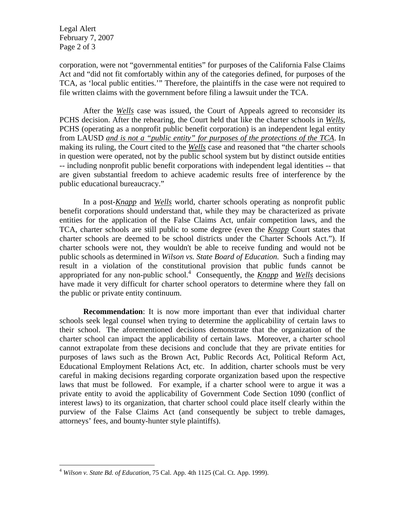Legal Alert February 7, 2007 Page 2 of 3

corporation, were not "governmental entities" for purposes of the California False Claims Act and "did not fit comfortably within any of the categories defined, for purposes of the TCA, as 'local public entities.'" Therefore, the plaintiffs in the case were not required to file written claims with the government before filing a lawsuit under the TCA.

After the *Wells* case was issued, the Court of Appeals agreed to reconsider its PCHS decision. After the rehearing, the Court held that like the charter schools in *Wells*, PCHS (operating as a nonprofit public benefit corporation) is an independent legal entity from LAUSD *and is not a "public entity" for purposes of the protections of the TCA*. In making its ruling, the Court cited to the *Wells* case and reasoned that "the charter schools in question were operated, not by the public school system but by distinct outside entities -- including nonprofit public benefit corporations with independent legal identities -- that are given substantial freedom to achieve academic results free of interference by the public educational bureaucracy."

In a post-*Knapp* and *Wells* world, charter schools operating as nonprofit public benefit corporations should understand that, while they may be characterized as private entities for the application of the False Claims Act, unfair competition laws, and the TCA, charter schools are still public to some degree (even the *Knapp* Court states that charter schools are deemed to be school districts under the Charter Schools Act."). If charter schools were not, they wouldn't be able to receive funding and would not be public schools as determined in *Wilson vs. State Board of Education.* Such a finding may result in a violation of the constitutional provision that public funds cannot be appropriated for any non-public school.<sup>4</sup> Consequently, the *Knapp* and *Wells* decisions have made it very difficult for charter school operators to determine where they fall on the public or private entity continuum.

**Recommendation**: It is now more important than ever that individual charter schools seek legal counsel when trying to determine the applicability of certain laws to their school. The aforementioned decisions demonstrate that the organization of the charter school can impact the applicability of certain laws. Moreover, a charter school cannot extrapolate from these decisions and conclude that they are private entities for purposes of laws such as the Brown Act, Public Records Act, Political Reform Act, Educational Employment Relations Act, etc. In addition, charter schools must be very careful in making decisions regarding corporate organization based upon the respective laws that must be followed. For example, if a charter school were to argue it was a private entity to avoid the applicability of Government Code Section 1090 (conflict of interest laws) to its organization, that charter school could place itself clearly within the purview of the False Claims Act (and consequently be subject to treble damages, attorneys' fees, and bounty-hunter style plaintiffs).

<u>.</u>

<sup>4</sup> *Wilson v. State Bd. of Education*, 75 Cal. App. 4th 1125 (Cal. Ct. App. 1999).